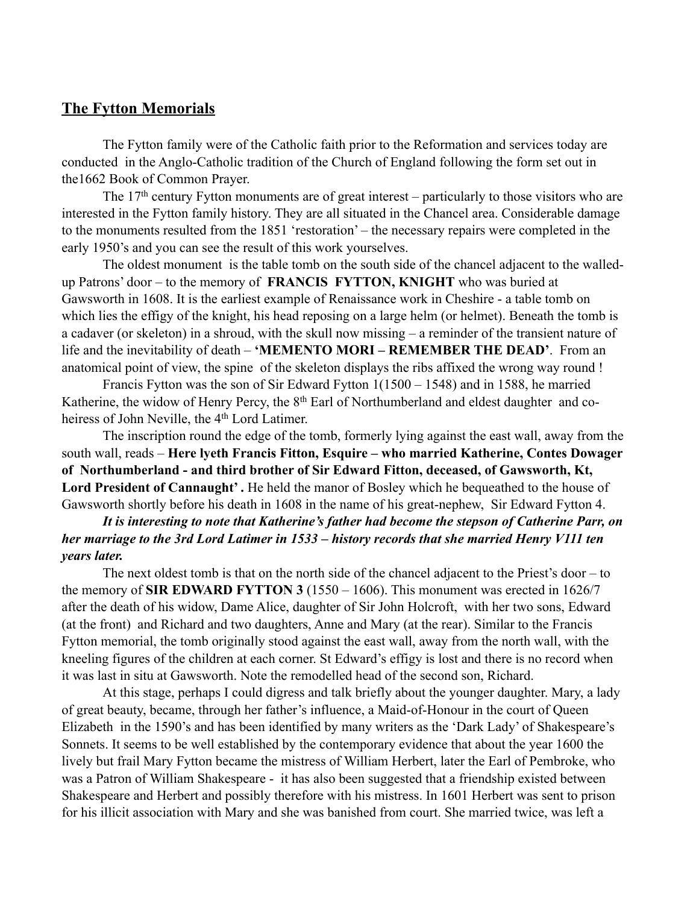## **The Fytton Memorials**

The Fytton family were of the Catholic faith prior to the Reformation and services today are conducted in the Anglo-Catholic tradition of the Church of England following the form set out in the1662 Book of Common Prayer.

The 17<sup>th</sup> century Fytton monuments are of great interest – particularly to those visitors who are interested in the Fytton family history. They are all situated in the Chancel area. Considerable damage to the monuments resulted from the 1851 'restoration' – the necessary repairs were completed in the early 1950's and you can see the result of this work yourselves.

The oldest monument is the table tomb on the south side of the chancel adjacent to the walledup Patrons' door – to the memory of **FRANCIS FYTTON, KNIGHT** who was buried at Gawsworth in 1608. It is the earliest example of Renaissance work in Cheshire - a table tomb on which lies the effigy of the knight, his head reposing on a large helm (or helmet). Beneath the tomb is a cadaver (or skeleton) in a shroud, with the skull now missing – a reminder of the transient nature of life and the inevitability of death – **'MEMENTO MORI – REMEMBER THE DEAD'**. From an anatomical point of view, the spine of the skeleton displays the ribs affixed the wrong way round !

Francis Fytton was the son of Sir Edward Fytton 1(1500 – 1548) and in 1588, he married Katherine, the widow of Henry Percy, the 8<sup>th</sup> Earl of Northumberland and eldest daughter and coheiress of John Neville, the 4<sup>th</sup> Lord Latimer.

The inscription round the edge of the tomb, formerly lying against the east wall, away from the south wall, reads – **Here lyeth Francis Fitton, Esquire – who married Katherine, Contes Dowager of Northumberland - and third brother of Sir Edward Fitton, deceased, of Gawsworth, Kt,**  Lord President of Cannaught'. He held the manor of Bosley which he bequeathed to the house of Gawsworth shortly before his death in 1608 in the name of his great-nephew, Sir Edward Fytton 4.

## *It is interesting to note that Katherine's father had become the stepson of Catherine Parr, on her marriage to the 3rd Lord Latimer in 1533 – history records that she married Henry V111 ten years later.*

The next oldest tomb is that on the north side of the chancel adjacent to the Priest's door – to the memory of **SIR EDWARD FYTTON 3** (1550 – 1606). This monument was erected in 1626/7 after the death of his widow, Dame Alice, daughter of Sir John Holcroft, with her two sons, Edward (at the front) and Richard and two daughters, Anne and Mary (at the rear). Similar to the Francis Fytton memorial, the tomb originally stood against the east wall, away from the north wall, with the kneeling figures of the children at each corner. St Edward's effigy is lost and there is no record when it was last in situ at Gawsworth. Note the remodelled head of the second son, Richard.

At this stage, perhaps I could digress and talk briefly about the younger daughter. Mary, a lady of great beauty, became, through her father's influence, a Maid-of-Honour in the court of Queen Elizabeth in the 1590's and has been identified by many writers as the 'Dark Lady' of Shakespeare's Sonnets. It seems to be well established by the contemporary evidence that about the year 1600 the lively but frail Mary Fytton became the mistress of William Herbert, later the Earl of Pembroke, who was a Patron of William Shakespeare - it has also been suggested that a friendship existed between Shakespeare and Herbert and possibly therefore with his mistress. In 1601 Herbert was sent to prison for his illicit association with Mary and she was banished from court. She married twice, was left a